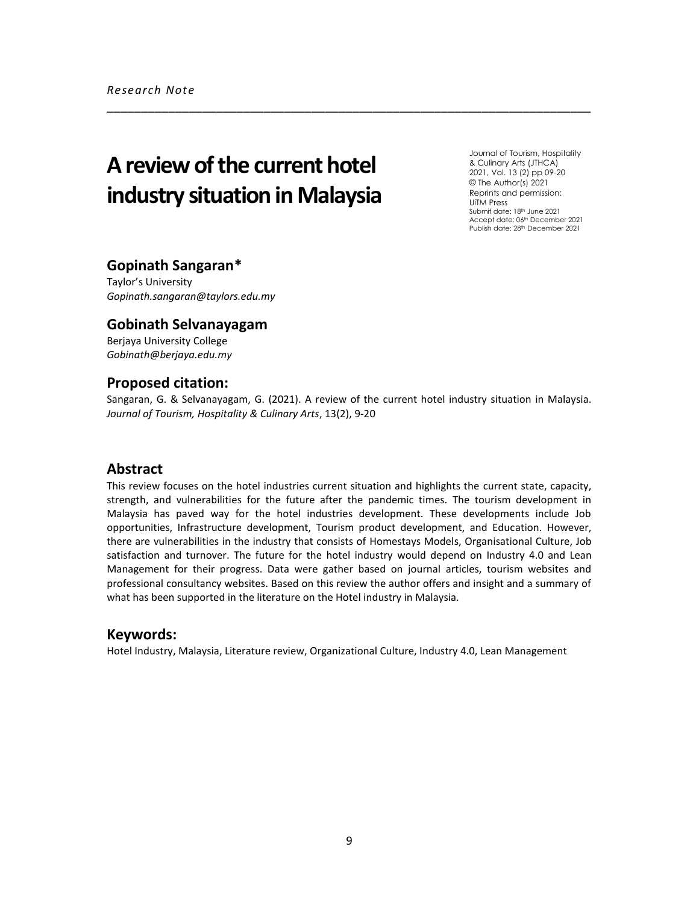# **Areview of the current hotel industry situation in Malaysia**

Journal of Tourism, Hospitality & Culinary Arts (JTHCA) 2021, Vol. 13 (2) pp 09-20 © The Author(s) 2021 Reprints and permission: UiTM Press Submit date: 18th June 2021 Accept date: 06<sup>th</sup> December 2021 Publish date: 28<sup>th</sup> December 2021

# **Gopinath Sangaran\***

Taylor's University *Gopinath.sangaran@taylors.edu.my*

# **Gobinath Selvanayagam**

Berjaya University College *Gobinath@berjaya.edu.my*

# **Proposed citation:**

Sangaran, G. & Selvanayagam, G. (2021). A review of the current hotel industry situation in Malaysia. *Journal of Tourism, Hospitality & Culinary Arts*, 13(2), 9-20

\_\_\_\_\_\_\_\_\_\_\_\_\_\_\_\_\_\_\_\_\_\_\_\_\_\_\_\_\_\_\_\_\_\_\_\_\_\_\_\_\_\_\_\_\_\_\_\_\_\_\_\_\_\_\_\_\_\_\_\_\_\_\_\_\_\_\_\_\_\_\_

# **Abstract**

This review focuses on the hotel industries current situation and highlights the current state, capacity, strength, and vulnerabilities for the future after the pandemic times. The tourism development in Malaysia has paved way for the hotel industries development. These developments include Job opportunities, Infrastructure development, Tourism product development, and Education. However, there are vulnerabilities in the industry that consists of Homestays Models, Organisational Culture, Job satisfaction and turnover. The future for the hotel industry would depend on Industry 4.0 and Lean Management for their progress. Data were gather based on journal articles, tourism websites and professional consultancy websites. Based on this review the author offers and insight and a summary of what has been supported in the literature on the Hotel industry in Malaysia.

# **Keywords:**

Hotel Industry, Malaysia, Literature review, Organizational Culture, Industry 4.0, Lean Management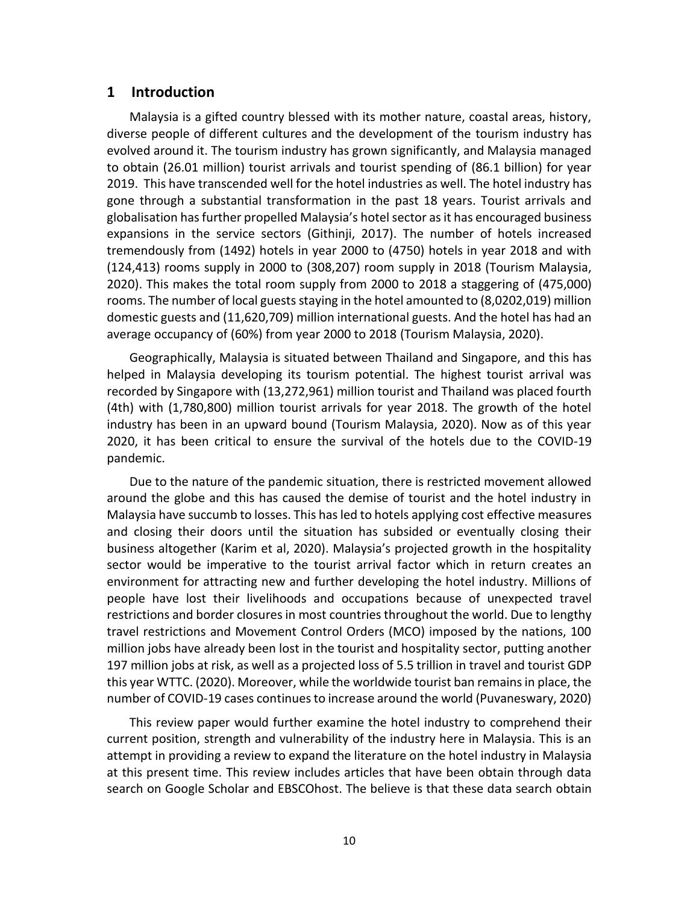# **1 Introduction**

Malaysia is a gifted country blessed with its mother nature, coastal areas, history, diverse people of different cultures and the development of the tourism industry has evolved around it. The tourism industry has grown significantly, and Malaysia managed to obtain (26.01 million) tourist arrivals and tourist spending of (86.1 billion) for year 2019. This have transcended well for the hotel industries as well. The hotel industry has gone through a substantial transformation in the past 18 years. Tourist arrivals and globalisation has further propelled Malaysia's hotel sector as it has encouraged business expansions in the service sectors (Githinji, 2017). The number of hotels increased tremendously from (1492) hotels in year 2000 to (4750) hotels in year 2018 and with (124,413) rooms supply in 2000 to (308,207) room supply in 2018 (Tourism Malaysia, 2020). This makes the total room supply from 2000 to 2018 a staggering of (475,000) rooms. The number of local guests staying in the hotel amounted to (8,0202,019) million domestic guests and (11,620,709) million international guests. And the hotel has had an average occupancy of (60%) from year 2000 to 2018 (Tourism Malaysia, 2020).

Geographically, Malaysia is situated between Thailand and Singapore, and this has helped in Malaysia developing its tourism potential. The highest tourist arrival was recorded by Singapore with (13,272,961) million tourist and Thailand was placed fourth (4th) with (1,780,800) million tourist arrivals for year 2018. The growth of the hotel industry has been in an upward bound (Tourism Malaysia, 2020). Now as of this year 2020, it has been critical to ensure the survival of the hotels due to the COVID-19 pandemic.

Due to the nature of the pandemic situation, there is restricted movement allowed around the globe and this has caused the demise of tourist and the hotel industry in Malaysia have succumb to losses. This has led to hotels applying cost effective measures and closing their doors until the situation has subsided or eventually closing their business altogether (Karim et al, 2020). Malaysia's projected growth in the hospitality sector would be imperative to the tourist arrival factor which in return creates an environment for attracting new and further developing the hotel industry. Millions of people have lost their livelihoods and occupations because of unexpected travel restrictions and border closures in most countries throughout the world. Due to lengthy travel restrictions and Movement Control Orders (MCO) imposed by the nations, 100 million jobs have already been lost in the tourist and hospitality sector, putting another 197 million jobs at risk, as well as a projected loss of 5.5 trillion in travel and tourist GDP this year WTTC. (2020). Moreover, while the worldwide tourist ban remains in place, the number of COVID-19 cases continues to increase around the world (Puvaneswary, 2020)

This review paper would further examine the hotel industry to comprehend their current position, strength and vulnerability of the industry here in Malaysia. This is an attempt in providing a review to expand the literature on the hotel industry in Malaysia at this present time. This review includes articles that have been obtain through data search on Google Scholar and EBSCOhost. The believe is that these data search obtain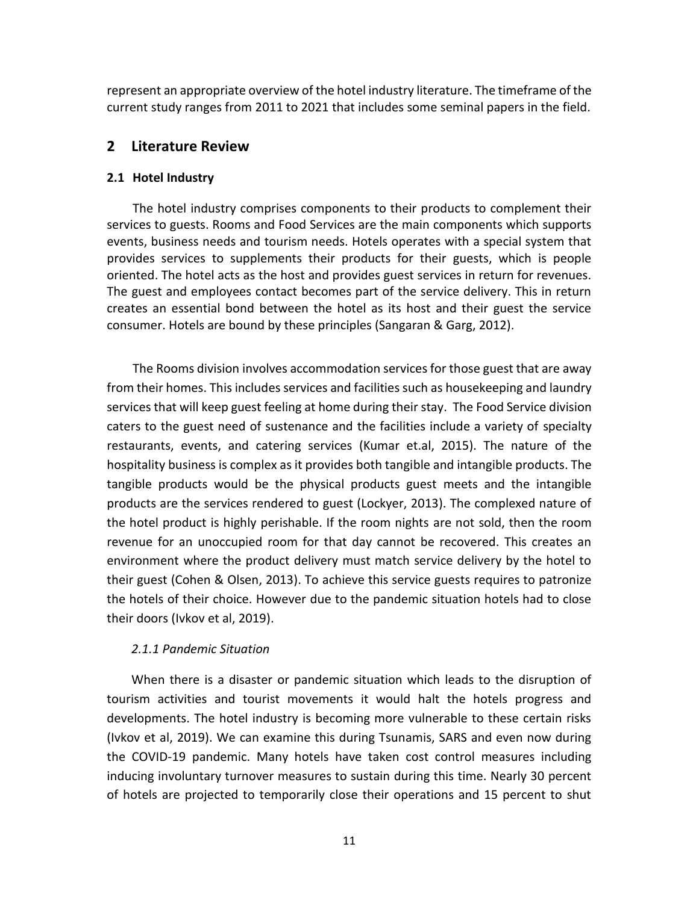represent an appropriate overview of the hotel industry literature. The timeframe of the current study ranges from 2011 to 2021 that includes some seminal papers in the field.

# **2 Literature Review**

# **2.1 Hotel Industry**

The hotel industry comprises components to their products to complement their services to guests. Rooms and Food Services are the main components which supports events, business needs and tourism needs. Hotels operates with a special system that provides services to supplements their products for their guests, which is people oriented. The hotel acts as the host and provides guest services in return for revenues. The guest and employees contact becomes part of the service delivery. This in return creates an essential bond between the hotel as its host and their guest the service consumer. Hotels are bound by these principles (Sangaran & Garg, 2012).

The Rooms division involves accommodation services for those guest that are away from their homes. This includes services and facilities such as housekeeping and laundry services that will keep guest feeling at home during their stay. The Food Service division caters to the guest need of sustenance and the facilities include a variety of specialty restaurants, events, and catering services (Kumar et.al, 2015). The nature of the hospitality business is complex as it provides both tangible and intangible products. The tangible products would be the physical products guest meets and the intangible products are the services rendered to guest (Lockyer, 2013). The complexed nature of the hotel product is highly perishable. If the room nights are not sold, then the room revenue for an unoccupied room for that day cannot be recovered. This creates an environment where the product delivery must match service delivery by the hotel to their guest (Cohen & Olsen, 2013). To achieve this service guests requires to patronize the hotels of their choice. However due to the pandemic situation hotels had to close their doors (Ivkov et al, 2019).

# *2.1.1 Pandemic Situation*

When there is a disaster or pandemic situation which leads to the disruption of tourism activities and tourist movements it would halt the hotels progress and developments. The hotel industry is becoming more vulnerable to these certain risks (Ivkov et al, 2019). We can examine this during Tsunamis, SARS and even now during the COVID-19 pandemic. Many hotels have taken cost control measures including inducing involuntary turnover measures to sustain during this time. Nearly 30 percent of hotels are projected to temporarily close their operations and 15 percent to shut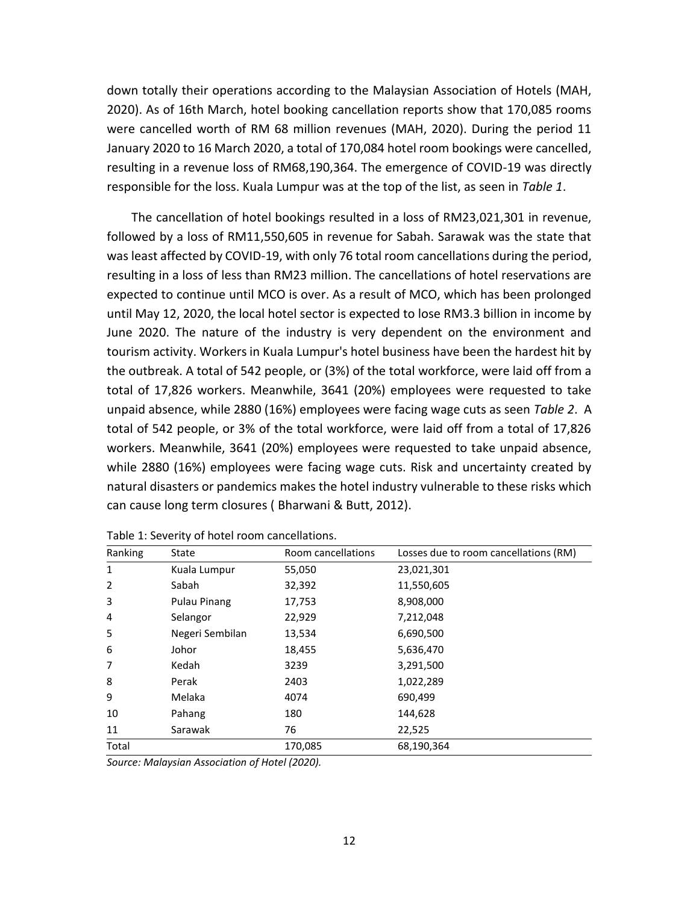down totally their operations according to the Malaysian Association of Hotels (MAH, 2020). As of 16th March, hotel booking cancellation reports show that 170,085 rooms were cancelled worth of RM 68 million revenues (MAH, 2020). During the period 11 January 2020 to 16 March 2020, a total of 170,084 hotel room bookings were cancelled, resulting in a revenue loss of RM68,190,364. The emergence of COVID-19 was directly responsible for the loss. Kuala Lumpur was at the top of the list, as seen in *Table 1*.

The cancellation of hotel bookings resulted in a loss of RM23,021,301 in revenue, followed by a loss of RM11,550,605 in revenue for Sabah. Sarawak was the state that was least affected by COVID-19, with only 76 total room cancellations during the period, resulting in a loss of less than RM23 million. The cancellations of hotel reservations are expected to continue until MCO is over. As a result of MCO, which has been prolonged until May 12, 2020, the local hotel sector is expected to lose RM3.3 billion in income by June 2020. The nature of the industry is very dependent on the environment and tourism activity. Workers in Kuala Lumpur's hotel business have been the hardest hit by the outbreak. A total of 542 people, or (3%) of the total workforce, were laid off from a total of 17,826 workers. Meanwhile, 3641 (20%) employees were requested to take unpaid absence, while 2880 (16%) employees were facing wage cuts as seen *Table 2*. A total of 542 people, or 3% of the total workforce, were laid off from a total of 17,826 workers. Meanwhile, 3641 (20%) employees were requested to take unpaid absence, while 2880 (16%) employees were facing wage cuts. Risk and uncertainty created by natural disasters or pandemics makes the hotel industry vulnerable to these risks which can cause long term closures ( Bharwani & Butt, 2012).

| Ranking      | State               | Room cancellations | Losses due to room cancellations (RM) |  |
|--------------|---------------------|--------------------|---------------------------------------|--|
| $\mathbf{1}$ | Kuala Lumpur        | 55,050             | 23,021,301                            |  |
| 2            | Sabah               | 32,392             | 11,550,605                            |  |
| 3            | <b>Pulau Pinang</b> | 17,753             | 8,908,000                             |  |
| 4            | Selangor            | 22,929             | 7,212,048                             |  |
| 5            | Negeri Sembilan     | 13,534             | 6,690,500                             |  |
| 6            | Johor               | 18,455             | 5,636,470                             |  |
| 7            | Kedah               | 3239               | 3,291,500                             |  |
| 8            | Perak               | 2403               | 1,022,289                             |  |
| 9            | Melaka              | 4074               | 690,499                               |  |
| 10           | Pahang              | 180                | 144,628                               |  |
| 11           | Sarawak             | 76                 | 22,525                                |  |
| Total        |                     | 170,085            | 68,190,364                            |  |

Table 1: Severity of hotel room cancellations.

*Source: Malaysian Association of Hotel (2020).*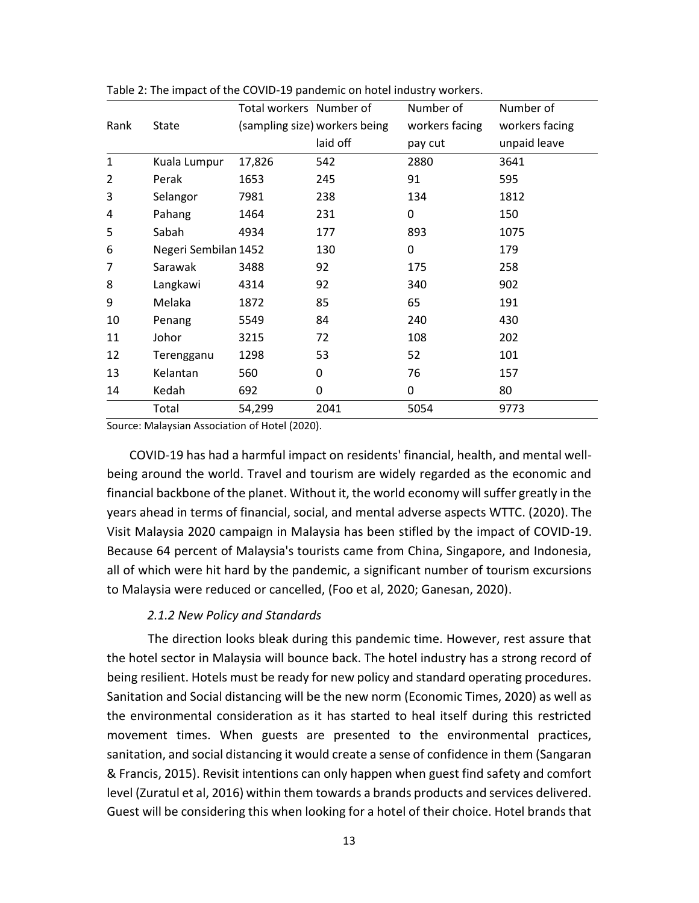|              |                      | Total workers Number of |                               | Number of      | Number of      |
|--------------|----------------------|-------------------------|-------------------------------|----------------|----------------|
| Rank         | State                |                         | (sampling size) workers being | workers facing | workers facing |
|              |                      |                         | laid off                      | pay cut        | unpaid leave   |
| $\mathbf{1}$ | Kuala Lumpur         | 17,826                  | 542                           | 2880           | 3641           |
| 2            | Perak                | 1653                    | 245                           | 91             | 595            |
| 3            | Selangor             | 7981                    | 238                           | 134            | 1812           |
| 4            | Pahang               | 1464                    | 231                           | 0              | 150            |
| 5            | Sabah                | 4934                    | 177                           | 893            | 1075           |
| 6            | Negeri Sembilan 1452 |                         | 130                           | 0              | 179            |
| 7            | Sarawak              | 3488                    | 92                            | 175            | 258            |
| 8            | Langkawi             | 4314                    | 92                            | 340            | 902            |
| 9            | Melaka               | 1872                    | 85                            | 65             | 191            |
| 10           | Penang               | 5549                    | 84                            | 240            | 430            |
| 11           | Johor                | 3215                    | 72                            | 108            | 202            |
| 12           | Terengganu           | 1298                    | 53                            | 52             | 101            |
| 13           | Kelantan             | 560                     | 0                             | 76             | 157            |
| 14           | Kedah                | 692                     | 0                             | 0              | 80             |
|              | Total                | 54,299                  | 2041                          | 5054           | 9773           |

Table 2: The impact of the COVID-19 pandemic on hotel industry workers.

Source: Malaysian Association of Hotel (2020).

COVID-19 has had a harmful impact on residents' financial, health, and mental wellbeing around the world. Travel and tourism are widely regarded as the economic and financial backbone of the planet. Without it, the world economy will suffer greatly in the years ahead in terms of financial, social, and mental adverse aspects WTTC. (2020). The Visit Malaysia 2020 campaign in Malaysia has been stifled by the impact of COVID-19. Because 64 percent of Malaysia's tourists came from China, Singapore, and Indonesia, all of which were hit hard by the pandemic, a significant number of tourism excursions to Malaysia were reduced or cancelled, (Foo et al, 2020; Ganesan, 2020).

#### *2.1.2 New Policy and Standards*

The direction looks bleak during this pandemic time. However, rest assure that the hotel sector in Malaysia will bounce back. The hotel industry has a strong record of being resilient. Hotels must be ready for new policy and standard operating procedures. Sanitation and Social distancing will be the new norm (Economic Times, 2020) as well as the environmental consideration as it has started to heal itself during this restricted movement times. When guests are presented to the environmental practices, sanitation, and social distancing it would create a sense of confidence in them (Sangaran & Francis, 2015). Revisit intentions can only happen when guest find safety and comfort level (Zuratul et al, 2016) within them towards a brands products and services delivered. Guest will be considering this when looking for a hotel of their choice. Hotel brands that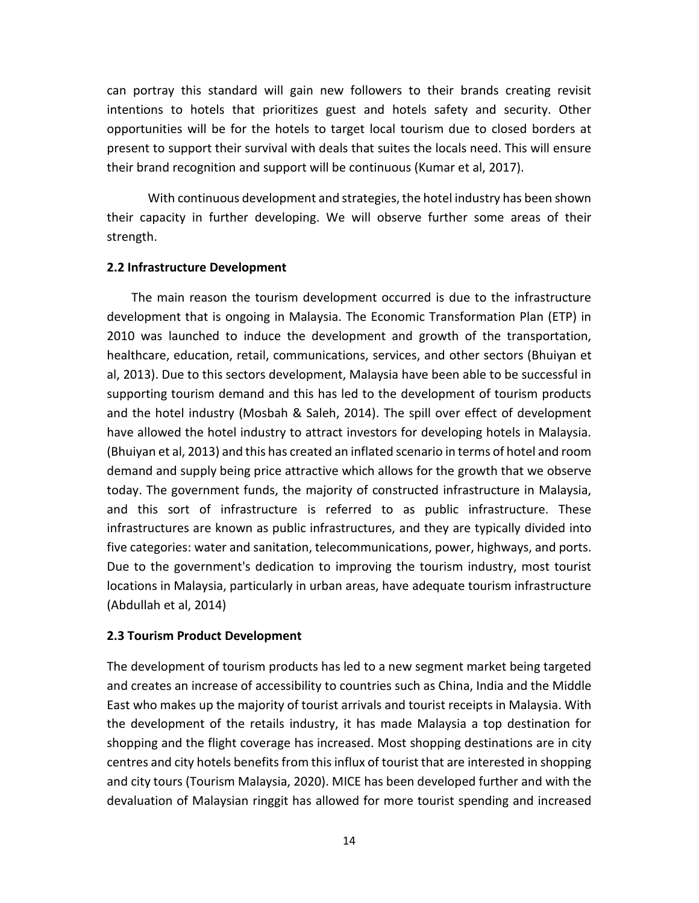can portray this standard will gain new followers to their brands creating revisit intentions to hotels that prioritizes guest and hotels safety and security. Other opportunities will be for the hotels to target local tourism due to closed borders at present to support their survival with deals that suites the locals need. This will ensure their brand recognition and support will be continuous (Kumar et al, 2017).

With continuous development and strategies, the hotel industry has been shown their capacity in further developing. We will observe further some areas of their strength.

#### **2.2 Infrastructure Development**

The main reason the tourism development occurred is due to the infrastructure development that is ongoing in Malaysia. The Economic Transformation Plan (ETP) in 2010 was launched to induce the development and growth of the transportation, healthcare, education, retail, communications, services, and other sectors (Bhuiyan et al, 2013). Due to this sectors development, Malaysia have been able to be successful in supporting tourism demand and this has led to the development of tourism products and the hotel industry (Mosbah & Saleh, 2014). The spill over effect of development have allowed the hotel industry to attract investors for developing hotels in Malaysia. (Bhuiyan et al, 2013) and this has created an inflated scenario in terms of hotel and room demand and supply being price attractive which allows for the growth that we observe today. The government funds, the majority of constructed infrastructure in Malaysia, and this sort of infrastructure is referred to as public infrastructure. These infrastructures are known as public infrastructures, and they are typically divided into five categories: water and sanitation, telecommunications, power, highways, and ports. Due to the government's dedication to improving the tourism industry, most tourist locations in Malaysia, particularly in urban areas, have adequate tourism infrastructure (Abdullah et al, 2014)

#### **2.3 Tourism Product Development**

The development of tourism products has led to a new segment market being targeted and creates an increase of accessibility to countries such as China, India and the Middle East who makes up the majority of tourist arrivals and tourist receipts in Malaysia. With the development of the retails industry, it has made Malaysia a top destination for shopping and the flight coverage has increased. Most shopping destinations are in city centres and city hotels benefits from this influx of tourist that are interested in shopping and city tours (Tourism Malaysia, 2020). MICE has been developed further and with the devaluation of Malaysian ringgit has allowed for more tourist spending and increased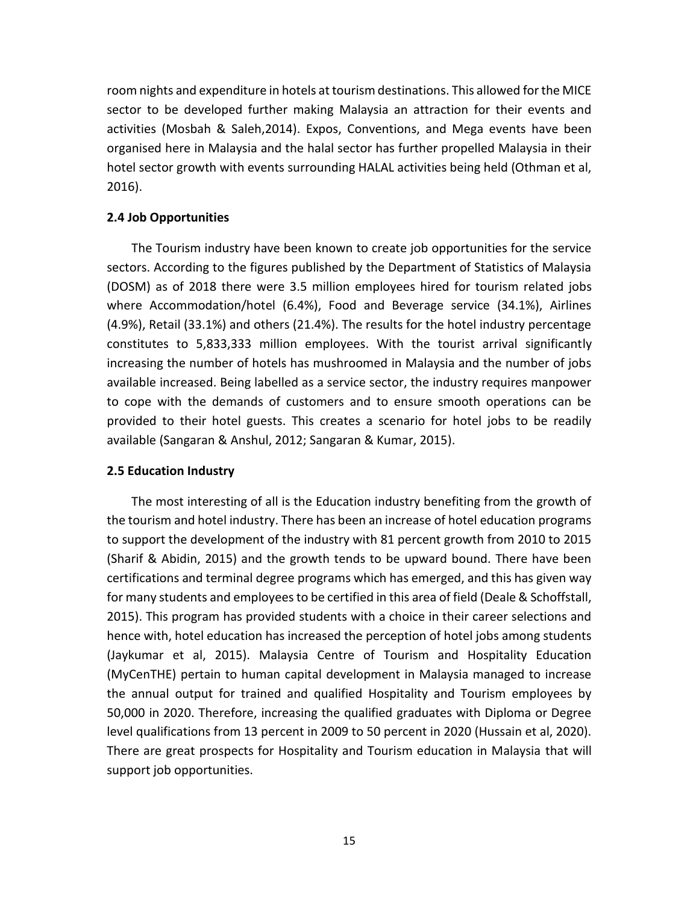room nights and expenditure in hotels at tourism destinations. This allowed for the MICE sector to be developed further making Malaysia an attraction for their events and activities (Mosbah & Saleh,2014). Expos, Conventions, and Mega events have been organised here in Malaysia and the halal sector has further propelled Malaysia in their hotel sector growth with events surrounding HALAL activities being held (Othman et al, 2016).

# **2.4 Job Opportunities**

The Tourism industry have been known to create job opportunities for the service sectors. According to the figures published by the Department of Statistics of Malaysia (DOSM) as of 2018 there were 3.5 million employees hired for tourism related jobs where Accommodation/hotel (6.4%), Food and Beverage service (34.1%), Airlines (4.9%), Retail (33.1%) and others (21.4%). The results for the hotel industry percentage constitutes to 5,833,333 million employees. With the tourist arrival significantly increasing the number of hotels has mushroomed in Malaysia and the number of jobs available increased. Being labelled as a service sector, the industry requires manpower to cope with the demands of customers and to ensure smooth operations can be provided to their hotel guests. This creates a scenario for hotel jobs to be readily available (Sangaran & Anshul, 2012; Sangaran & Kumar, 2015).

## **2.5 Education Industry**

The most interesting of all is the Education industry benefiting from the growth of the tourism and hotel industry. There has been an increase of hotel education programs to support the development of the industry with 81 percent growth from 2010 to 2015 (Sharif & Abidin, 2015) and the growth tends to be upward bound. There have been certifications and terminal degree programs which has emerged, and this has given way for many students and employees to be certified in this area of field (Deale & Schoffstall, 2015). This program has provided students with a choice in their career selections and hence with, hotel education has increased the perception of hotel jobs among students (Jaykumar et al, 2015). Malaysia Centre of Tourism and Hospitality Education (MyCenTHE) pertain to human capital development in Malaysia managed to increase the annual output for trained and qualified Hospitality and Tourism employees by 50,000 in 2020. Therefore, increasing the qualified graduates with Diploma or Degree level qualifications from 13 percent in 2009 to 50 percent in 2020 (Hussain et al, 2020). There are great prospects for Hospitality and Tourism education in Malaysia that will support job opportunities.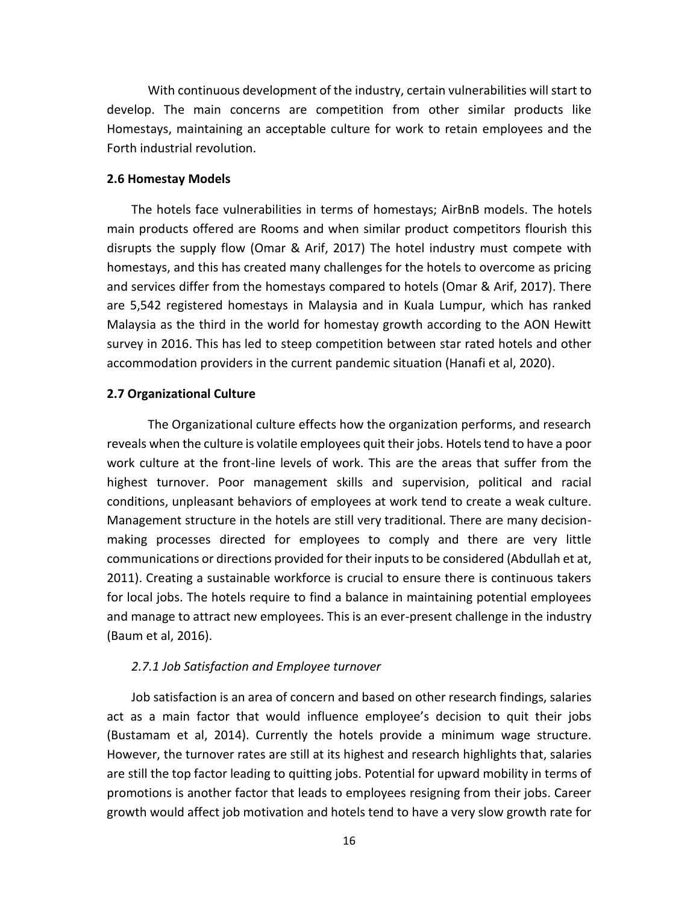With continuous development of the industry, certain vulnerabilities will start to develop. The main concerns are competition from other similar products like Homestays, maintaining an acceptable culture for work to retain employees and the Forth industrial revolution.

#### **2.6 Homestay Models**

The hotels face vulnerabilities in terms of homestays; AirBnB models. The hotels main products offered are Rooms and when similar product competitors flourish this disrupts the supply flow (Omar & Arif, 2017) The hotel industry must compete with homestays, and this has created many challenges for the hotels to overcome as pricing and services differ from the homestays compared to hotels (Omar & Arif, 2017). There are 5,542 registered homestays in Malaysia and in Kuala Lumpur, which has ranked Malaysia as the third in the world for homestay growth according to the AON Hewitt survey in 2016. This has led to steep competition between star rated hotels and other accommodation providers in the current pandemic situation (Hanafi et al, 2020).

#### **2.7 Organizational Culture**

The Organizational culture effects how the organization performs, and research reveals when the culture is volatile employees quit their jobs. Hotels tend to have a poor work culture at the front-line levels of work. This are the areas that suffer from the highest turnover. Poor management skills and supervision, political and racial conditions, unpleasant behaviors of employees at work tend to create a weak culture. Management structure in the hotels are still very traditional. There are many decisionmaking processes directed for employees to comply and there are very little communications or directions provided for their inputs to be considered (Abdullah et at, 2011). Creating a sustainable workforce is crucial to ensure there is continuous takers for local jobs. The hotels require to find a balance in maintaining potential employees and manage to attract new employees. This is an ever-present challenge in the industry (Baum et al, 2016).

## *2.7.1 Job Satisfaction and Employee turnover*

Job satisfaction is an area of concern and based on other research findings, salaries act as a main factor that would influence employee's decision to quit their jobs (Bustamam et al, 2014). Currently the hotels provide a minimum wage structure. However, the turnover rates are still at its highest and research highlights that, salaries are still the top factor leading to quitting jobs. Potential for upward mobility in terms of promotions is another factor that leads to employees resigning from their jobs. Career growth would affect job motivation and hotels tend to have a very slow growth rate for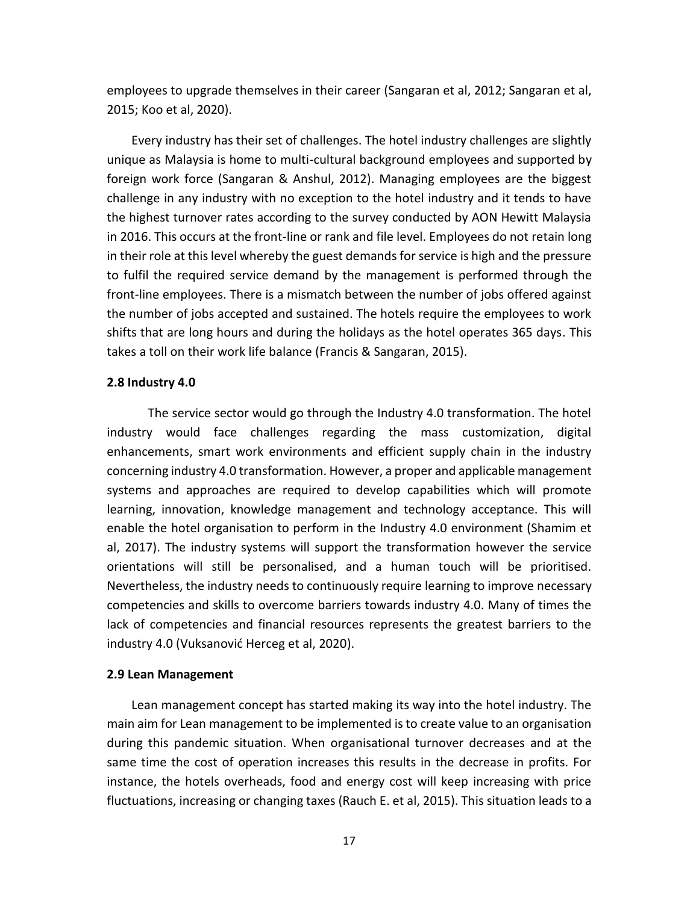employees to upgrade themselves in their career (Sangaran et al, 2012; Sangaran et al, 2015; Koo et al, 2020).

Every industry has their set of challenges. The hotel industry challenges are slightly unique as Malaysia is home to multi-cultural background employees and supported by foreign work force (Sangaran & Anshul, 2012). Managing employees are the biggest challenge in any industry with no exception to the hotel industry and it tends to have the highest turnover rates according to the survey conducted by AON Hewitt Malaysia in 2016. This occurs at the front-line or rank and file level. Employees do not retain long in their role at this level whereby the guest demands for service is high and the pressure to fulfil the required service demand by the management is performed through the front-line employees. There is a mismatch between the number of jobs offered against the number of jobs accepted and sustained. The hotels require the employees to work shifts that are long hours and during the holidays as the hotel operates 365 days. This takes a toll on their work life balance (Francis & Sangaran, 2015).

#### **2.8 Industry 4.0**

The service sector would go through the Industry 4.0 transformation. The hotel industry would face challenges regarding the mass customization, digital enhancements, smart work environments and efficient supply chain in the industry concerning industry 4.0 transformation. However, a proper and applicable management systems and approaches are required to develop capabilities which will promote learning, innovation, knowledge management and technology acceptance. This will enable the hotel organisation to perform in the Industry 4.0 environment (Shamim et al, 2017). The industry systems will support the transformation however the service orientations will still be personalised, and a human touch will be prioritised. Nevertheless, the industry needs to continuously require learning to improve necessary competencies and skills to overcome barriers towards industry 4.0. Many of times the lack of competencies and financial resources represents the greatest barriers to the industry 4.0 (Vuksanović Herceg et al, 2020).

#### **2.9 Lean Management**

Lean management concept has started making its way into the hotel industry. The main aim for Lean management to be implemented is to create value to an organisation during this pandemic situation. When organisational turnover decreases and at the same time the cost of operation increases this results in the decrease in profits. For instance, the hotels overheads, food and energy cost will keep increasing with price fluctuations, increasing or changing taxes (Rauch E. et al, 2015). This situation leads to a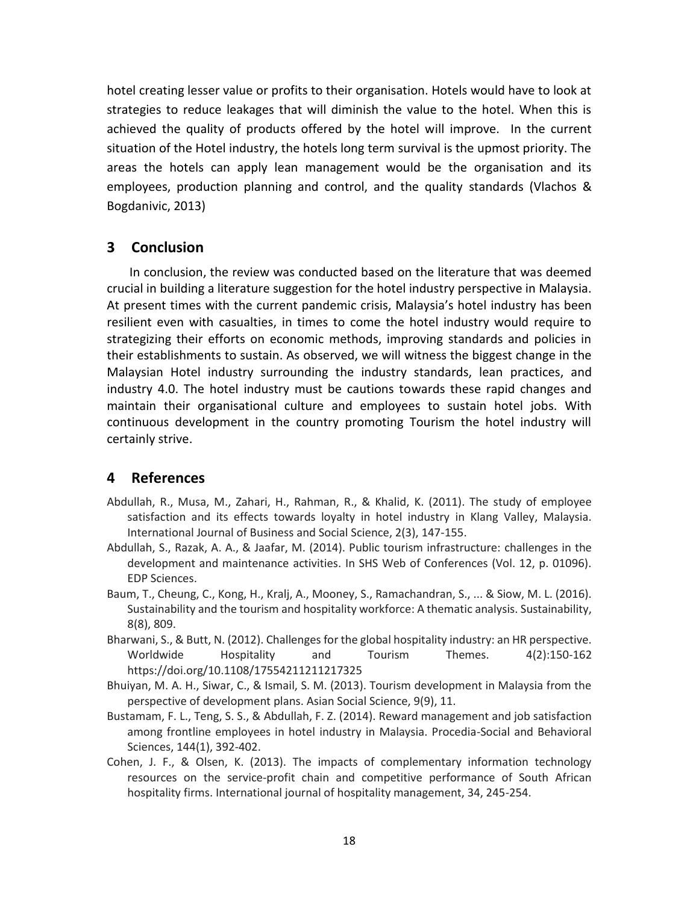hotel creating lesser value or profits to their organisation. Hotels would have to look at strategies to reduce leakages that will diminish the value to the hotel. When this is achieved the quality of products offered by the hotel will improve. In the current situation of the Hotel industry, the hotels long term survival is the upmost priority. The areas the hotels can apply lean management would be the organisation and its employees, production planning and control, and the quality standards (Vlachos & Bogdanivic, 2013)

# **3 Conclusion**

In conclusion, the review was conducted based on the literature that was deemed crucial in building a literature suggestion for the hotel industry perspective in Malaysia. At present times with the current pandemic crisis, Malaysia's hotel industry has been resilient even with casualties, in times to come the hotel industry would require to strategizing their efforts on economic methods, improving standards and policies in their establishments to sustain. As observed, we will witness the biggest change in the Malaysian Hotel industry surrounding the industry standards, lean practices, and industry 4.0. The hotel industry must be cautions towards these rapid changes and maintain their organisational culture and employees to sustain hotel jobs. With continuous development in the country promoting Tourism the hotel industry will certainly strive.

# **4 References**

- Abdullah, R., Musa, M., Zahari, H., Rahman, R., & Khalid, K. (2011). The study of employee satisfaction and its effects towards loyalty in hotel industry in Klang Valley, Malaysia. International Journal of Business and Social Science, 2(3), 147-155.
- Abdullah, S., Razak, A. A., & Jaafar, M. (2014). Public tourism infrastructure: challenges in the development and maintenance activities. In SHS Web of Conferences (Vol. 12, p. 01096). EDP Sciences.
- Baum, T., Cheung, C., Kong, H., Kralj, A., Mooney, S., Ramachandran, S., ... & Siow, M. L. (2016). Sustainability and the tourism and hospitality workforce: A thematic analysis. Sustainability, 8(8), 809.
- Bharwani, S., & Butt, N. (2012). Challenges for the global hospitality industry: an HR perspective. Worldwide Hospitality and Tourism Themes. 4(2):150-162 https://doi.org/10.1108/17554211211217325
- Bhuiyan, M. A. H., Siwar, C., & Ismail, S. M. (2013). Tourism development in Malaysia from the perspective of development plans. Asian Social Science, 9(9), 11.
- Bustamam, F. L., Teng, S. S., & Abdullah, F. Z. (2014). Reward management and job satisfaction among frontline employees in hotel industry in Malaysia. Procedia-Social and Behavioral Sciences, 144(1), 392-402.
- Cohen, J. F., & Olsen, K. (2013). The impacts of complementary information technology resources on the service-profit chain and competitive performance of South African hospitality firms. International journal of hospitality management, 34, 245-254.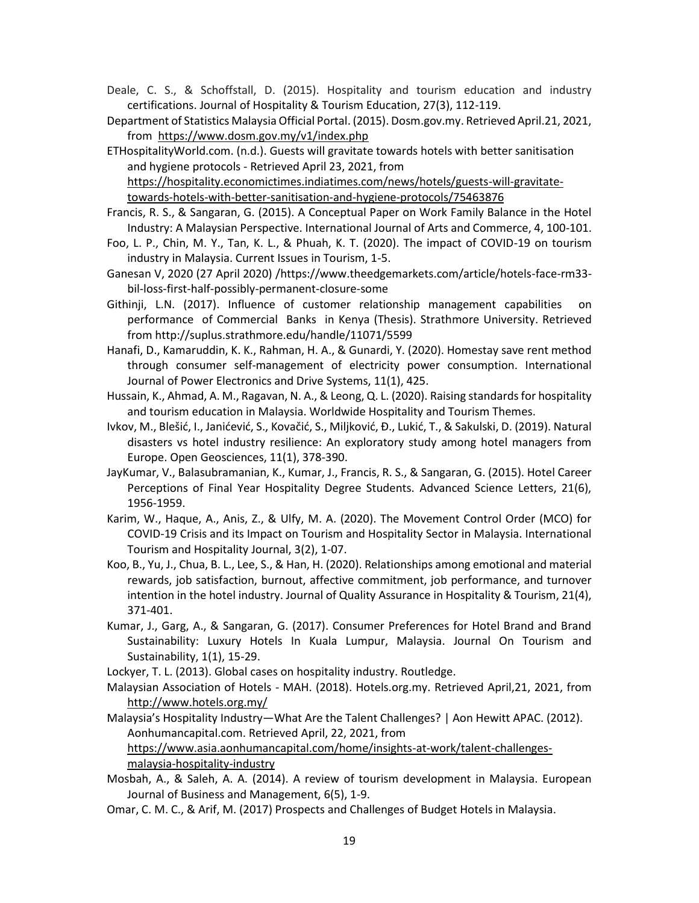- Deale, C. S., & Schoffstall, D. (2015). Hospitality and tourism education and industry certifications. Journal of Hospitality & Tourism Education, 27(3), 112-119.
- Department of Statistics Malaysia Official Portal. (2015). Dosm.gov.my. Retrieved April.21, 2021, from <https://www.dosm.gov.my/v1/index.php>
- ETHospitalityWorld.com. (n.d.). Guests will gravitate towards hotels with better sanitisation and hygiene protocols - Retrieved April 23, 2021, from [https://hospitality.economictimes.indiatimes.com/news/hotels/guests-will-gravitate-](https://hospitality.economictimes.indiatimes.com/news/hotels/guests-will-gravitate-towards-hotels-with-better-sanitisation-and-hygiene-protocols/75463876)

[towards-hotels-with-better-sanitisation-and-hygiene-protocols/75463876](https://hospitality.economictimes.indiatimes.com/news/hotels/guests-will-gravitate-towards-hotels-with-better-sanitisation-and-hygiene-protocols/75463876)

- Francis, R. S., & Sangaran, G. (2015). A Conceptual Paper on Work Family Balance in the Hotel Industry: A Malaysian Perspective. International Journal of Arts and Commerce, 4, 100-101.
- Foo, L. P., Chin, M. Y., Tan, K. L., & Phuah, K. T. (2020). The impact of COVID-19 on tourism industry in Malaysia. Current Issues in Tourism, 1-5.
- Ganesan V, 2020 (27 April 2020) /https://www.theedgemarkets.com/article/hotels-face-rm33 bil-loss-first-half-possibly-permanent-closure-some
- Githinji, L.N. (2017). Influence of customer relationship management capabilities on performance of Commercial Banks in Kenya (Thesis). Strathmore University. Retrieved from http://suplus.strathmore.edu/handle/11071/5599
- Hanafi, D., Kamaruddin, K. K., Rahman, H. A., & Gunardi, Y. (2020). Homestay save rent method through consumer self-management of electricity power consumption. International Journal of Power Electronics and Drive Systems, 11(1), 425.
- Hussain, K., Ahmad, A. M., Ragavan, N. A., & Leong, Q. L. (2020). Raising standards for hospitality and tourism education in Malaysia. Worldwide Hospitality and Tourism Themes.
- Ivkov, M., Blešić, I., Janićević, S., Kovačić, S., Miljković, Ð., Lukić, T., & Sakulski, D. (2019). Natural disasters vs hotel industry resilience: An exploratory study among hotel managers from Europe. Open Geosciences, 11(1), 378-390.
- JayKumar, V., Balasubramanian, K., Kumar, J., Francis, R. S., & Sangaran, G. (2015). Hotel Career Perceptions of Final Year Hospitality Degree Students. Advanced Science Letters, 21(6), 1956-1959.
- Karim, W., Haque, A., Anis, Z., & Ulfy, M. A. (2020). The Movement Control Order (MCO) for COVID-19 Crisis and its Impact on Tourism and Hospitality Sector in Malaysia. International Tourism and Hospitality Journal, 3(2), 1-07.
- Koo, B., Yu, J., Chua, B. L., Lee, S., & Han, H. (2020). Relationships among emotional and material rewards, job satisfaction, burnout, affective commitment, job performance, and turnover intention in the hotel industry. Journal of Quality Assurance in Hospitality & Tourism, 21(4), 371-401.
- Kumar, J., Garg, A., & Sangaran, G. (2017). Consumer Preferences for Hotel Brand and Brand Sustainability: Luxury Hotels In Kuala Lumpur, Malaysia. Journal On Tourism and Sustainability, 1(1), 15-29.

Lockyer, T. L. (2013). Global cases on hospitality industry. Routledge.

Malaysian Association of Hotels - MAH. (2018). Hotels.org.my. Retrieved April,21, 2021, from <http://www.hotels.org.my/>

Malaysia's Hospitality Industry—What Are the Talent Challenges? | Aon Hewitt APAC. (2012). Aonhumancapital.com. Retrieved April, 22, 2021, from [https://www.asia.aonhumancapital.com/home/insights-at-work/talent-challenges](https://www.asia.aonhumancapital.com/home/insights-at-work/talent-challenges-malaysia-hospitality-industry)[malaysia-hospitality-industry](https://www.asia.aonhumancapital.com/home/insights-at-work/talent-challenges-malaysia-hospitality-industry)

- Mosbah, A., & Saleh, A. A. (2014). A review of tourism development in Malaysia. European Journal of Business and Management, 6(5), 1-9.
- Omar, C. M. C., & Arif, M. (2017) Prospects and Challenges of Budget Hotels in Malaysia.